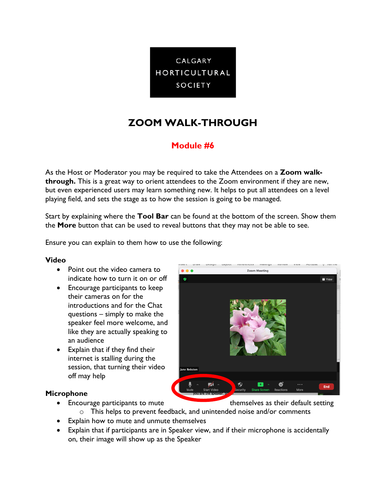

# **ZOOM WALK-THROUGH**

# **Module #6**

As the Host or Moderator you may be required to take the Attendees on a **Zoom walkthrough.** This is a great way to orient attendees to the Zoom environment if they are new, but even experienced users may learn something new. It helps to put all attendees on a level playing field, and sets the stage as to how the session is going to be managed.

Start by explaining where the **Tool Bar** can be found at the bottom of the screen. Show them the **More** button that can be used to reveal buttons that they may not be able to see.

Ensure you can explain to them how to use the following:

#### **Video**

- Point out the video camera to indicate how to turn it on or off
- Encourage participants to keep their cameras on for the introductions and for the Chat questions – simply to make the speaker feel more welcome, and like they are actually speaking to an audience
- Explain that if they find their internet is stalling during the session, that turning their video off may help

## **Microphone**

- $• •$ **Zoom Meeting**
- Encourage participants to mute themselves as their default setting

- o This helps to prevent feedback, and unintended noise and/or comments
- Explain how to mute and unmute themselves
- Explain that if participants are in Speaker view, and if their microphone is accidentally on, their image will show up as the Speaker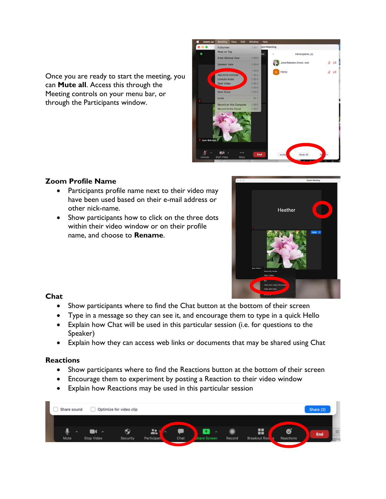Once you are ready to start the meeting, you can **Mute all**. Access this through the Meeting controls on your menu bar, or through the Participants window.



# **Zoom Profile Name**

- Participants profile name next to their video may have been used based on their e-mail address or other nick-name.
- Show participants how to click on the three dots within their video window or on their profile name, and choose to **Rename**.



# **Chat**

- Show participants where to find the Chat button at the bottom of their screen
- Type in a message so they can see it, and encourage them to type in a quick Hello
- Explain how Chat will be used in this particular session (i.e. for questions to the Speaker)
- Explain how they can access web links or documents that may be shared using Chat

## **Reactions**

- Show participants where to find the Reactions button at the bottom of their screen
- Encourage them to experiment by posting a Reaction to their video window
- Explain how Reactions may be used in this particular session